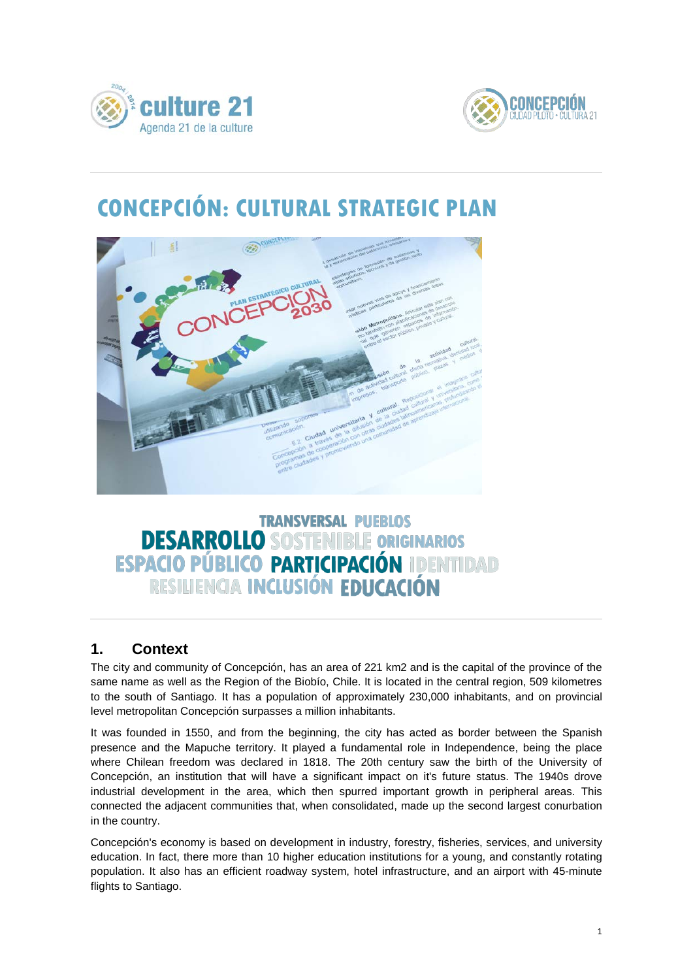



# **CONCEPCIÓN: CULTURAL STRATEGIC PLAN**



# **TRANSVERSAL PUEBLOS DESARROLLO SOSTENIBLE ORIGINARIOS<br>ESPACIO PÚBLICO PARTICIPACIÓN IDENTIDAD** RESILIENCIA INCLUSIÓN EDUCACIÓN

## **1. Context**

The city and community of Concepción, has an area of 221 km2 and is the capital of the province of the same name as well as the Region of the Biobío, Chile. It is located in the central region, 509 kilometres to the south of Santiago. It has a population of approximately 230,000 inhabitants, and on provincial level metropolitan Concepción surpasses a million inhabitants.

It was founded in 1550, and from the beginning, the city has acted as border between the Spanish presence and the Mapuche territory. It played a fundamental role in Independence, being the place where Chilean freedom was declared in 1818. The 20th century saw the birth of the University of Concepción, an institution that will have a significant impact on it's future status. The 1940s drove industrial development in the area, which then spurred important growth in peripheral areas. This connected the adjacent communities that, when consolidated, made up the second largest conurbation in the country.

Concepción's economy is based on development in industry, forestry, fisheries, services, and university education. In fact, there more than 10 higher education institutions for a young, and constantly rotating population. It also has an efficient roadway system, hotel infrastructure, and an airport with 45-minute flights to Santiago.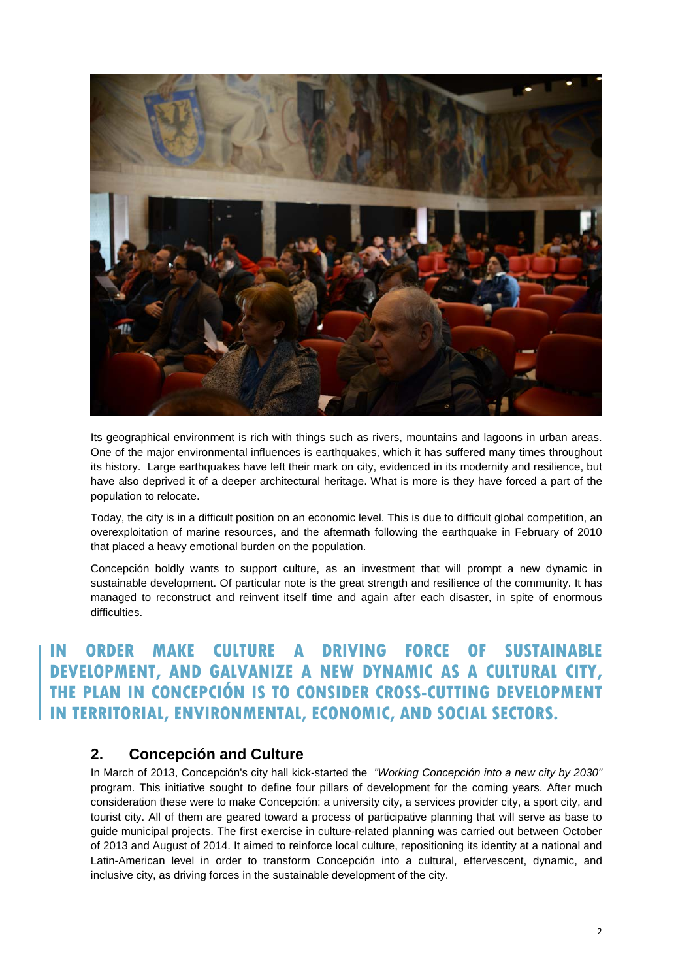

Its geographical environment is rich with things such as rivers, mountains and lagoons in urban areas. One of the major environmental influences is earthquakes, which it has suffered many times throughout its history. Large earthquakes have left their mark on city, evidenced in its modernity and resilience, but have also deprived it of a deeper architectural heritage. What is more is they have forced a part of the population to relocate.

Today, the city is in a difficult position on an economic level. This is due to difficult global competition, an overexploitation of marine resources, and the aftermath following the earthquake in February of 2010 that placed a heavy emotional burden on the population.

Concepción boldly wants to support culture, as an investment that will prompt a new dynamic in sustainable development. Of particular note is the great strength and resilience of the community. It has managed to reconstruct and reinvent itself time and again after each disaster, in spite of enormous difficulties.

## **ORDER MAKE CULTURE A DRIVING FORCE OF SUSTAINABLE DEVELOPMENT, AND GALVANIZE A NEW DYNAMIC AS A CULTURAL CITY, THE PLAN IN CONCEPCIÓN IS TO CONSIDER CROSS-CUTTING DEVELOPMENT IN TERRITORIAL, ENVIRONMENTAL, ECONOMIC, AND SOCIAL SECTORS.**

### **2. Concepción and Culture**

In March of 2013, Concepción's city hall kick-started the *"Working Concepción into a new city by 2030"* program. This initiative sought to define four pillars of development for the coming years. After much consideration these were to make Concepción: a university city, a services provider city, a sport city, and tourist city. All of them are geared toward a process of participative planning that will serve as base to guide municipal projects. The first exercise in culture-related planning was carried out between October of 2013 and August of 2014. It aimed to reinforce local culture, repositioning its identity at a national and Latin-American level in order to transform Concepción into a cultural, effervescent, dynamic, and inclusive city, as driving forces in the sustainable development of the city.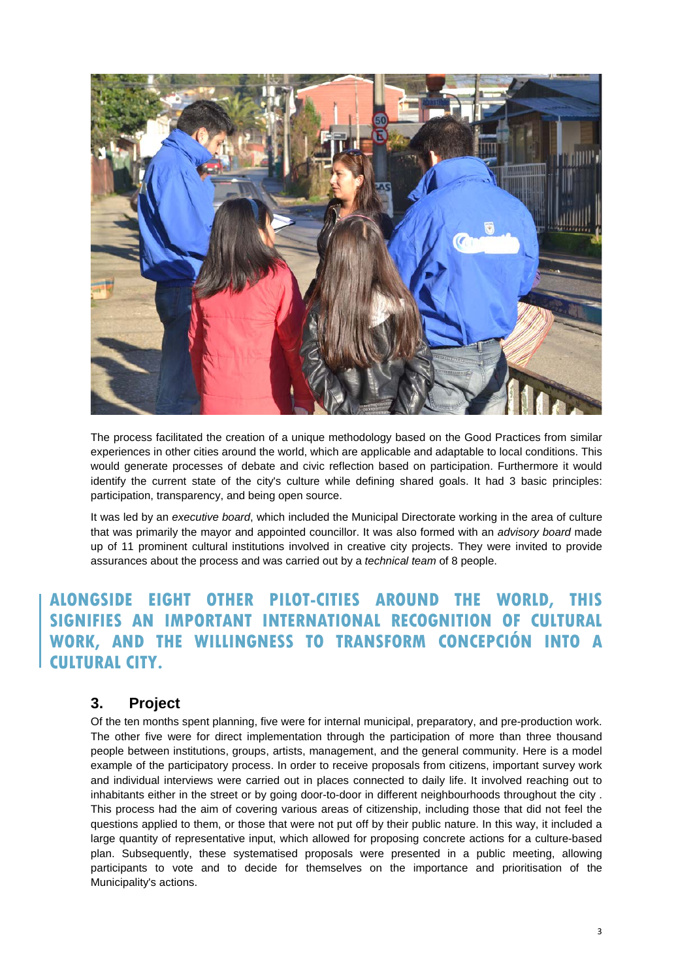

The process facilitated the creation of a unique methodology based on the Good Practices from similar experiences in other cities around the world, which are applicable and adaptable to local conditions. This would generate processes of debate and civic reflection based on participation. Furthermore it would identify the current state of the city's culture while defining shared goals. It had 3 basic principles: participation, transparency, and being open source.

It was led by an *executive board*, which included the Municipal Directorate working in the area of culture that was primarily the mayor and appointed councillor. It was also formed with an *advisory board* made up of 11 prominent cultural institutions involved in creative city projects. They were invited to provide assurances about the process and was carried out by a *technical team* of 8 people.

## **ALONGSIDE EIGHT OTHER PILOT-CITIES AROUND THE WORLD, THIS SIGNIFIES AN IMPORTANT INTERNATIONAL RECOGNITION OF CULTURAL WORK, AND THE WILLINGNESS TO TRANSFORM CONCEPCIÓN INTO A CULTURAL CITY.**

#### **3. Project**

Of the ten months spent planning, five were for internal municipal, preparatory, and pre-production work. The other five were for direct implementation through the participation of more than three thousand people between institutions, groups, artists, management, and the general community. Here is a model example of the participatory process. In order to receive proposals from citizens, important survey work and individual interviews were carried out in places connected to daily life. It involved reaching out to inhabitants either in the street or by going door-to-door in different neighbourhoods throughout the city . This process had the aim of covering various areas of citizenship, including those that did not feel the questions applied to them, or those that were not put off by their public nature. In this way, it included a large quantity of representative input, which allowed for proposing concrete actions for a culture-based plan. Subsequently, these systematised proposals were presented in a public meeting, allowing participants to vote and to decide for themselves on the importance and prioritisation of the Municipality's actions.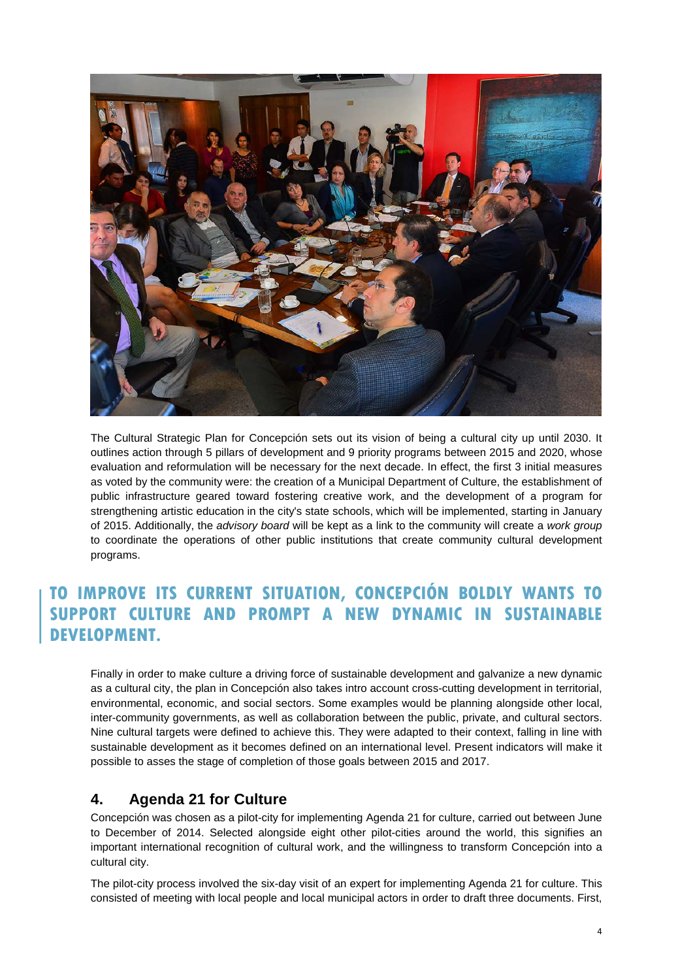

The Cultural Strategic Plan for Concepción sets out its vision of being a cultural city up until 2030. It outlines action through 5 pillars of development and 9 priority programs between 2015 and 2020, whose evaluation and reformulation will be necessary for the next decade. In effect, the first 3 initial measures as voted by the community were: the creation of a Municipal Department of Culture, the establishment of public infrastructure geared toward fostering creative work, and the development of a program for strengthening artistic education in the city's state schools, which will be implemented, starting in January of 2015. Additionally, the *advisory board* will be kept as a link to the community will create a *work group* to coordinate the operations of other public institutions that create community cultural development programs.

# **TO IMPROVE ITS CURRENT SITUATION, CONCEPCIÓN BOLDLY WANTS TO SUPPORT CULTURE AND PROMPT A NEW DYNAMIC IN SUSTAINABLE DEVELOPMENT.**

Finally in order to make culture a driving force of sustainable development and galvanize a new dynamic as a cultural city, the plan in Concepción also takes intro account cross-cutting development in territorial, environmental, economic, and social sectors. Some examples would be planning alongside other local, inter-community governments, as well as collaboration between the public, private, and cultural sectors. Nine cultural targets were defined to achieve this. They were adapted to their context, falling in line with sustainable development as it becomes defined on an international level. Present indicators will make it possible to asses the stage of completion of those goals between 2015 and 2017.

### **4. Agenda 21 for Culture**

Concepción was chosen as a pilot-city for implementing Agenda 21 for culture, carried out between June to December of 2014. Selected alongside eight other pilot-cities around the world, this signifies an important international recognition of cultural work, and the willingness to transform Concepción into a cultural city.

The pilot-city process involved the six-day visit of an expert for implementing Agenda 21 for culture. This consisted of meeting with local people and local municipal actors in order to draft three documents. First,